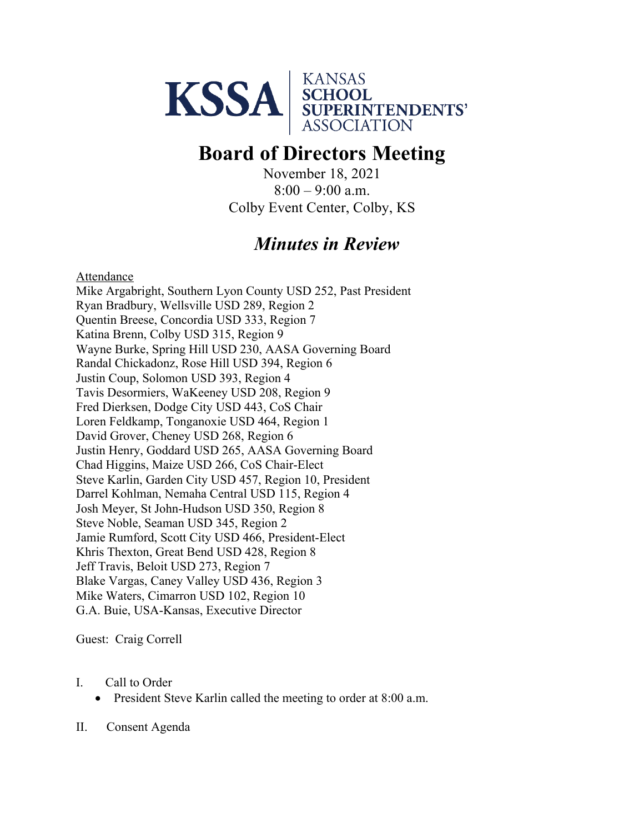

## **Board of Directors Meeting**

November 18, 2021  $8:00 - 9:00$  a.m. Colby Event Center, Colby, KS

## *Minutes in Review*

Attendance

Mike Argabright, Southern Lyon County USD 252, Past President Ryan Bradbury, Wellsville USD 289, Region 2 Quentin Breese, Concordia USD 333, Region 7 Katina Brenn, Colby USD 315, Region 9 Wayne Burke, Spring Hill USD 230, AASA Governing Board Randal Chickadonz, Rose Hill USD 394, Region 6 Justin Coup, Solomon USD 393, Region 4 Tavis Desormiers, WaKeeney USD 208, Region 9 Fred Dierksen, Dodge City USD 443, CoS Chair Loren Feldkamp, Tonganoxie USD 464, Region 1 David Grover, Cheney USD 268, Region 6 Justin Henry, Goddard USD 265, AASA Governing Board Chad Higgins, Maize USD 266, CoS Chair-Elect Steve Karlin, Garden City USD 457, Region 10, President Darrel Kohlman, Nemaha Central USD 115, Region 4 Josh Meyer, St John-Hudson USD 350, Region 8 Steve Noble, Seaman USD 345, Region 2 Jamie Rumford, Scott City USD 466, President-Elect Khris Thexton, Great Bend USD 428, Region 8 Jeff Travis, Beloit USD 273, Region 7 Blake Vargas, Caney Valley USD 436, Region 3 Mike Waters, Cimarron USD 102, Region 10 G.A. Buie, USA-Kansas, Executive Director

Guest: Craig Correll

## I. Call to Order

• President Steve Karlin called the meeting to order at 8:00 a.m.

II. Consent Agenda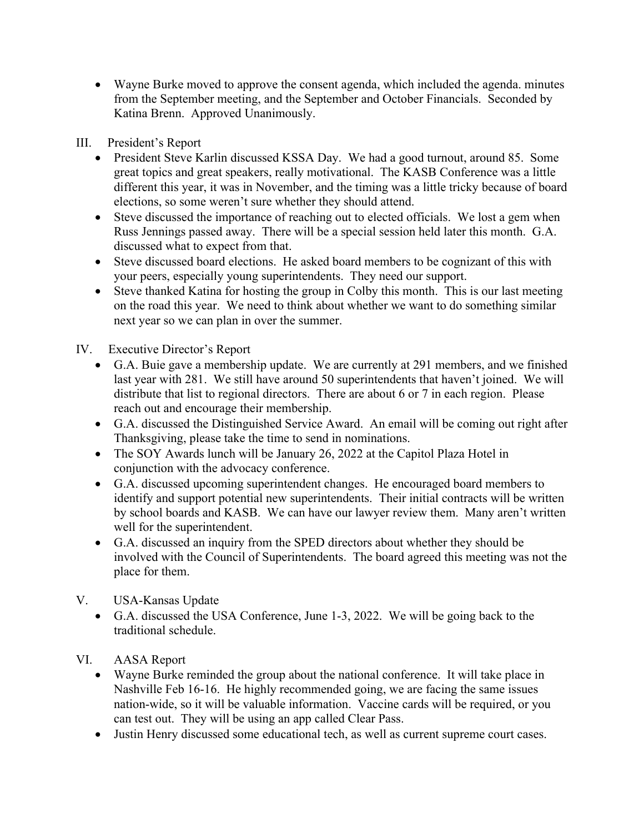• Wayne Burke moved to approve the consent agenda, which included the agenda. minutes from the September meeting, and the September and October Financials. Seconded by Katina Brenn. Approved Unanimously.

III. President's Report

- President Steve Karlin discussed KSSA Day. We had a good turnout, around 85. Some great topics and great speakers, really motivational. The KASB Conference was a little different this year, it was in November, and the timing was a little tricky because of board elections, so some weren't sure whether they should attend.
- Steve discussed the importance of reaching out to elected officials. We lost a gem when Russ Jennings passed away. There will be a special session held later this month. G.A. discussed what to expect from that.
- Steve discussed board elections. He asked board members to be cognizant of this with your peers, especially young superintendents. They need our support.
- Steve thanked Katina for hosting the group in Colby this month. This is our last meeting on the road this year. We need to think about whether we want to do something similar next year so we can plan in over the summer.

IV. Executive Director's Report

- G.A. Buie gave a membership update. We are currently at 291 members, and we finished last year with 281. We still have around 50 superintendents that haven't joined. We will distribute that list to regional directors. There are about 6 or 7 in each region. Please reach out and encourage their membership.
- G.A. discussed the Distinguished Service Award. An email will be coming out right after Thanksgiving, please take the time to send in nominations.
- The SOY Awards lunch will be January 26, 2022 at the Capitol Plaza Hotel in conjunction with the advocacy conference.
- G.A. discussed upcoming superintendent changes. He encouraged board members to identify and support potential new superintendents. Their initial contracts will be written by school boards and KASB. We can have our lawyer review them. Many aren't written well for the superintendent.
- G.A. discussed an inquiry from the SPED directors about whether they should be involved with the Council of Superintendents. The board agreed this meeting was not the place for them.
- V. USA-Kansas Update
	- G.A. discussed the USA Conference, June 1-3, 2022. We will be going back to the traditional schedule.

VI. AASA Report

- Wayne Burke reminded the group about the national conference. It will take place in Nashville Feb 16-16. He highly recommended going, we are facing the same issues nation-wide, so it will be valuable information. Vaccine cards will be required, or you can test out. They will be using an app called Clear Pass.
- Justin Henry discussed some educational tech, as well as current supreme court cases.